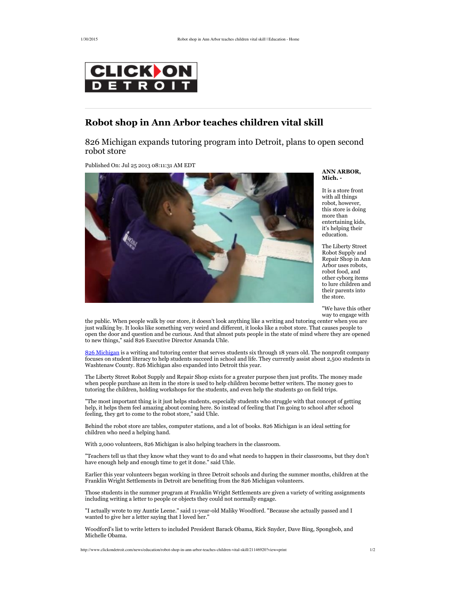

## **Robot shop in Ann Arbor teaches children vital skill**

826 Michigan expands tutoring program into Detroit, plans to open second robot store

Published On: Jul 25 2013 08:11:31 AM EDT



**ANN ARBOR, Mich.**

It is a store front with all things robot, however, this store is doing more than entertaining kids, it's helping their education.

The Liberty Street Robot Supply and Repair Shop in Ann Arbor uses robots, robot food, and other cyborg items to lure children and their parents into the store.

"We have this other way to engage with

the public. When people walk by our store, it doesn't look anything like a writing and tutoring center when you are just walking by. It looks like something very weird and different, it looks like a robot store. That causes people to open the door and question and be curious. And that almost puts people in the state of mind where they are opened to new things," said 826 Executive Director Amanda Uhle.

826 Michigan is a writing and tutoring center that serves students six through 18 years old. The nonprofit company focuses on student literacy to help students succeed in school and life. They currently assist about 2,500 students in Washtenaw County. 826 Michigan also expanded into Detroit this year.

The Liberty Street Robot Supply and Repair Shop exists for a greater purpose then just profits. The money made when people purchase an item in the store is used to help children become better writers. The money goes to tutoring the children, holding workshops for the students, and even help the students go on field trips.

"The most important thing is it just helps students, especially students who struggle with that concept of getting help, it helps them feel amazing about coming here. So instead of feeling that I'm going to school after school feeling, they get to come to the robot store," said Uhle.

Behind the robot store are tables, computer stations, and a lot of books. 826 Michigan is an ideal setting for children who need a helping hand.

With 2,000 volunteers, 826 Michigan is also helping teachers in the classroom.

"Teachers tell us that they know what they want to do and what needs to happen in their classrooms, but they don't have enough help and enough time to get it done." said Uhle.

Earlier this year volunteers began working in three Detroit schools and during the summer months, children at the Franklin Wright Settlements in Detroit are benefiting from the 826 Michigan volunteers.

Those students in the summer program at Franklin Wright Settlements are given a variety of writing assignments including writing a letter to people or objects they could not normally engage.

"I actually wrote to my Auntie Leene." said 11-year-old Maliky Woodford. "Because she actually passed and I wanted to give her a letter saying that I loved her.'

Woodford's list to write letters to included President Barack Obama, Rick Snyder, Dave Bing, Spongbob, and Michelle Obama.